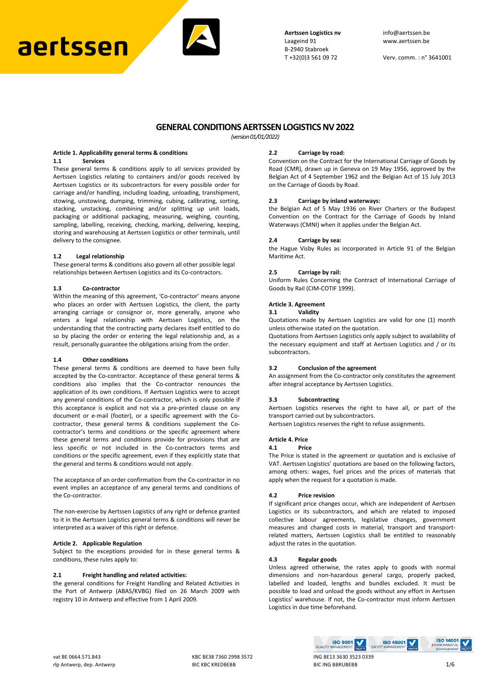# aertssen



**Aertssen Logistics nv** info@aertssen.be<br>Laageind 91 vww.aertssen.be B-2940 Stabroek<br>T+32(0)3 561 09 72

Verv. comm. : n° 3641001

# **GENERAL CONDITIONS AERTSSEN LOGISTICS NV 2022**

*(version 01/01/2022)*

# **Article 1. Applicability general terms & conditions**

# **1.1 Services**

These general terms & conditions apply to all services provided by Aertssen Logistics relating to containers and/or goods received by Aertssen Logistics or its subcontractors for every possible order for carriage and/or handling, including loading, unloading, transhipment, stowing, unstowing, dumping, trimming, cubing, calibrating, sorting, stacking, unstacking, combining and/or splitting up unit loads, packaging or additional packaging, measuring, weighing, counting, sampling, labelling, receiving, checking, marking, delivering, keeping, storing and warehousing at Aertssen Logistics or other terminals, until delivery to the consignee.

#### **1.2 Legal relationship**

These general terms & conditions also govern all other possible legal relationships between Aertssen Logistics and its Co-contractors.

# **1.3 Co-contractor**

Within the meaning of this agreement, 'Co-contractor' means anyone who places an order with Aertssen Logistics, the client, the party arranging carriage or consignor or, more generally, anyone who enters a legal relationship with Aertssen Logistics, on the understanding that the contracting party declares itself entitled to do so by placing the order or entering the legal relationship and, as a result, personally guarantee the obligations arising from the order.

#### **1.4 Other conditions**

These general terms & conditions are deemed to have been fully accepted by the Co-contractor. Acceptance of these general terms & conditions also implies that the Co-contractor renounces the application of its own conditions. If Aertssen Logistics were to accept any general conditions of the Co-contractor, which is only possible if this acceptance is explicit and not via a pre-printed clause on any document or e-mail (footer), or a specific agreement with the Cocontractor, these general terms & conditions supplement the Cocontractor's terms and conditions or the specific agreement where these general terms and conditions provide for provisions that are less specific or not included in the Co-contractors terms and conditions or the specific agreement, even if they explicitly state that the general and terms & conditions would not apply.

The acceptance of an order confirmation from the Co-contractor in no event implies an acceptance of any general terms and conditions of the Co-contractor.

The non-exercise by Aertssen Logistics of any right or defence granted to it in the Aertssen Logistics general terms & conditions will never be interpreted as a waiver of this right or defence.

#### **Article 2. Applicable Regulation**

Subject to the exceptions provided for in these general terms & conditions, these rules apply to:

# **2.1 Freight handling and related activities:**

the general conditions for Freight Handling and Related Activities in the Port of Antwerp (ABAS/KVBG) filed on 26 March 2009 with registry 10 in Antwerp and effective from 1 April 2009.

#### **2.2 Carriage by road:**

Convention on the Contract for the International Carriage of Goods by Road (CMR), drawn up in Geneva on 19 May 1956, approved by the Belgian Act of 4 September 1962 and the Belgian Act of 15 July 2013 on the Carriage of Goods by Road.

# **2.3 Carriage by inland waterways:**

the Belgian Act of 5 May 1936 on River Charters or the Budapest Convention on the Contract for the Carriage of Goods by Inland Waterways (CMNI) when it applies under the Belgian Act.

#### **2.4 Carriage by sea:**

the Hague Visby Rules as incorporated in Article 91 of the Belgian Maritime Act.

#### **2.5 Carriage by rail:**

Uniform Rules Concerning the Contract of International Carriage of Goods by Rail (CIM-COTIF 1999).

# **Article 3. Agreement**

#### **3.1 Validity**

Quotations made by Aertssen Logistics are valid for one (1) month unless otherwise stated on the quotation.

Quotations from Aertssen Logistics only apply subject to availability of the necessary equipment and staff at Aertssen Logistics and / or its subcontractors.

#### **3.2 Conclusion of the agreement**

An assignment from the Co-contractor only constitutes the agreement after integral acceptance by Aertssen Logistics.

#### **3.3 Subcontracting**

Aertssen Logistics reserves the right to have all, or part of the transport carried out by subcontractors.

Aertssen Logistics reserves the right to refuse assignments.

#### **Article 4. Price**

#### **4.1 Price**

The Price is stated in the agreement or quotation and is exclusive of VAT. Aertssen Logistics' quotations are based on the following factors, among others: wages, fuel prices and the prices of materials that apply when the request for a quotation is made.

#### **4.2 Price revision**

If significant price changes occur, which are independent of Aertssen Logistics or its subcontractors, and which are related to imposed collective labour agreements, legislative changes, government measures and changed costs in material, transport and transportrelated matters, Aertssen Logistics shall be entitled to reasonably adjust the rates in the quotation.

#### **4.3 Regular goods**

Unless agreed otherwise, the rates apply to goods with normal dimensions and non-hazardous general cargo, properly packed, labelled and loaded, lengths and bundles excluded. It must be possible to load and unload the goods without any effort in Aertssen Logistics' warehouse. If not, the Co-contractor must inform Aertssen Logistics in due time beforehand.

**ISO 45001**<br>SAFETY MANAGEMENT

**ISO 9001**<br>QUALITY MANAGEMENT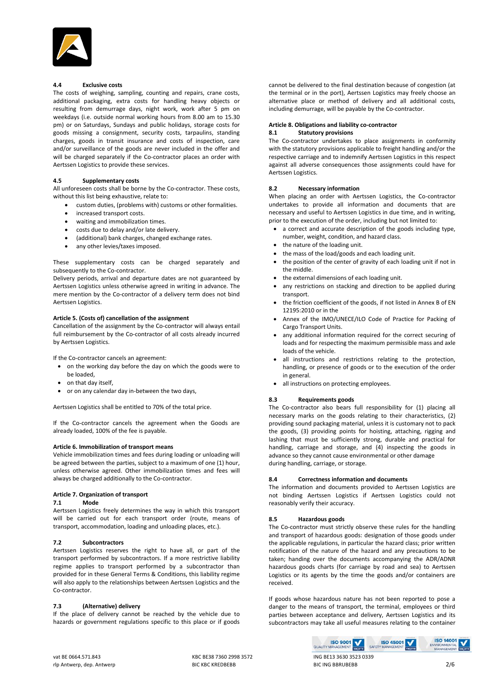

# **4.4 Exclusive costs**

The costs of weighing, sampling, counting and repairs, crane costs, additional packaging, extra costs for handling heavy objects or resulting from demurrage days, night work, work after 5 pm on weekdays (i.e. outside normal working hours from 8.00 am to 15.30 pm) or on Saturdays, Sundays and public holidays, storage costs for goods missing a consignment, security costs, tarpaulins, standing charges, goods in transit insurance and costs of inspection, care and/or surveillance of the goods are never included in the offer and will be charged separately if the Co-contractor places an order with Aertssen Logistics to provide these services.

# **4.5 Supplementary costs**

All unforeseen costs shall be borne by the Co-contractor. These costs, without this list being exhaustive, relate to:

- custom duties, (problems with) customs or other formalities.
- increased transport costs.
- waiting and immobilization times.
- costs due to delay and/or late delivery.
- (additional) bank charges, changed exchange rates.
- any other levies/taxes imposed.

These supplementary costs can be charged separately and subsequently to the Co-contractor.

Delivery periods, arrival and departure dates are not guaranteed by Aertssen Logistics unless otherwise agreed in writing in advance. The mere mention by the Co-contractor of a delivery term does not bind Aertssen Logistics.

# **Article 5. (Costs of) cancellation of the assignment**

Cancellation of the assignment by the Co-contractor will always entail full reimbursement by the Co-contractor of all costs already incurred by Aertssen Logistics.

If the Co-contractor cancels an agreement:

- on the working day before the day on which the goods were to be loaded,
- on that day itself,
- or on any calendar day in-between the two days,

Aertssen Logistics shall be entitled to 70% of the total price.

If the Co-contractor cancels the agreement when the Goods are already loaded, 100% of the fee is payable.

# **Article 6. Immobilization of transport means**

Vehicle immobilization times and fees during loading or unloading will be agreed between the parties, subject to a maximum of one (1) hour, unless otherwise agreed. Other immobilization times and fees will always be charged additionally to the Co-contractor.

# **Article 7. Organization of transport**

# **7.1 Mode**

Aertssen Logistics freely determines the way in which this transport will be carried out for each transport order (route, means of transport, accommodation, loading and unloading places, etc.).

# **7.2 Subcontractors**

Aertssen Logistics reserves the right to have all, or part of the transport performed by subcontractors. If a more restrictive liability regime applies to transport performed by a subcontractor than provided for in these General Terms & Conditions, this liability regime will also apply to the relationships between Aertssen Logistics and the Co-contractor.

# **7.3 (Alternative) delivery**

If the place of delivery cannot be reached by the vehicle due to hazards or government regulations specific to this place or if goods cannot be delivered to the final destination because of congestion (at the terminal or in the port), Aertssen Logistics may freely choose an alternative place or method of delivery and all additional costs, including demurrage, will be payable by the Co-contractor.

#### **Article 8. Obligations and liability co-contractor 8.1 Statutory provisions**

The Co-contractor undertakes to place assignments in conformity with the statutory provisions applicable to freight handling and/or the respective carriage and to indemnify Aertssen Logistics in this respect against all adverse consequences those assignments could have for Aertssen Logistics.

#### **8.2 Necessary information**

When placing an order with Aertssen Logistics, the Co-contractor undertakes to provide all information and documents that are necessary and useful to Aertssen Logistics in due time, and in writing, prior to the execution of the order, including but not limited to:

- a correct and accurate description of the goods including type, number, weight, condition, and hazard class.
- the nature of the loading unit.
- the mass of the load/goods and each loading unit.
- the position of the center of gravity of each loading unit if not in the middle.
- the external dimensions of each loading unit.
- any restrictions on stacking and direction to be applied during transport.
- the friction coefficient of the goods, if not listed in Annex B of EN 12195:2010 or in the
- Annex of the IMO/UNECE/ILO Code of Practice for Packing of Cargo Transport Units.
- any additional information required for the correct securing of loads and for respecting the maximum permissible mass and axle loads of the vehicle.
- all instructions and restrictions relating to the protection, handling, or presence of goods or to the execution of the order in general.
- all instructions on protecting employees.

# **8.3 Requirements goods**

The Co-contractor also bears full responsibility for (1) placing all necessary marks on the goods relating to their characteristics, (2) providing sound packaging material, unless it is customary not to pack the goods, (3) providing points for hoisting, attaching, rigging and lashing that must be sufficiently strong, durable and practical for handling, carriage and storage, and (4) inspecting the goods in advance so they cannot cause environmental or other damage during handling, carriage, or storage.

# **8.4 Correctness information and documents**

The information and documents provided to Aertssen Logistics are not binding Aertssen Logistics if Aertssen Logistics could not reasonably verify their accuracy.

# **8.5 Hazardous goods**

The Co-contractor must strictly observe these rules for the handling and transport of hazardous goods: designation of those goods under the applicable regulations, in particular the hazard class; prior written notification of the nature of the hazard and any precautions to be taken; handing over the documents accompanying the ADR/ADNR hazardous goods charts (for carriage by road and sea) to Aertssen Logistics or its agents by the time the goods and/or containers are received.

If goods whose hazardous nature has not been reported to pose a danger to the means of transport, the terminal, employees or third parties between acceptance and delivery, Aertssen Logistics and its subcontractors may take all useful measures relating to the container

**ISO 45001**<br>SAFETY MANAGEMENT

**ISO 9001** OUALITY MANAGEM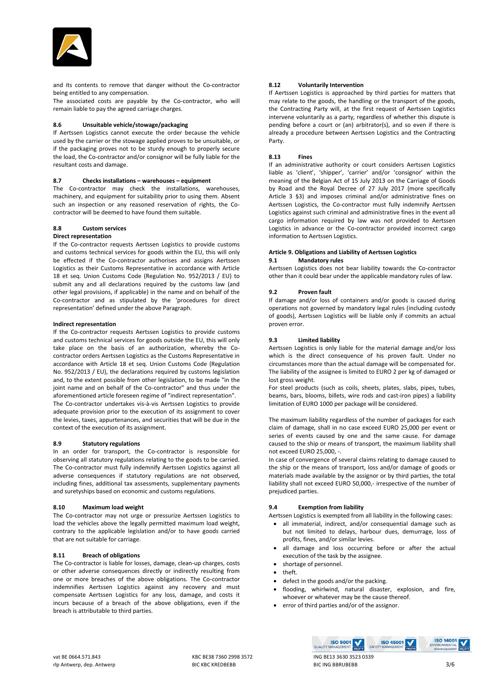

and its contents to remove that danger without the Co-contractor being entitled to any compensation.

The associated costs are payable by the Co-contractor, who will remain liable to pay the agreed carriage charges.

#### **8.6 Unsuitable vehicle/stowage/packaging**

If Aertssen Logistics cannot execute the order because the vehicle used by the carrier or the stowage applied proves to be unsuitable, or if the packaging proves not to be sturdy enough to properly secure the load, the Co-contractor and/or consignor will be fully liable for the resultant costs and damage.

#### **8.7 Checks installations – warehouses – equipment**

The Co-contractor may check the installations, warehouses, machinery, and equipment for suitability prior to using them. Absent such an inspection or any reasoned reservation of rights, the Cocontractor will be deemed to have found them suitable.

# **8.8 Custom services**

# **Direct representation**

If the Co-contractor requests Aertssen Logistics to provide customs and customs technical services for goods within the EU, this will only be effected if the Co-contractor authorises and assigns Aertssen Logistics as their Customs Representative in accordance with Article 18 et seq. Union Customs Code (Regulation No. 952/2013 / EU) to submit any and all declarations required by the customs law (and other legal provisions, if applicable) in the name and on behalf of the Co-contractor and as stipulated by the 'procedures for direct representation' defined under the above Paragraph.

#### **Indirect representation**

If the Co-contractor requests Aertssen Logistics to provide customs and customs technical services for goods outside the EU, this will only take place on the basis of an authorization, whereby the Cocontractor orders Aertssen Logistics as the Customs Representative in accordance with Article 18 et seq. Union Customs Code (Regulation No. 952/2013 / EU), the declarations required by customs legislation and, to the extent possible from other legislation, to be made "in the joint name and on behalf of the Co-contractor" and thus under the aforementioned article foreseen regime of "indirect representation". The Co-contractor undertakes vis-à-vis Aertssen Logistics to provide

adequate provision prior to the execution of its assignment to cover the levies, taxes, appurtenances, and securities that will be due in the context of the execution of its assignment.

# **8.9 Statutory regulations**

In an order for transport, the Co-contractor is responsible for observing all statutory regulations relating to the goods to be carried. The Co-contractor must fully indemnify Aertssen Logistics against all adverse consequences if statutory regulations are not observed, including fines, additional tax assessments, supplementary payments and suretyships based on economic and customs regulations.

# **8.10 Maximum load weight**

The Co-contractor may not urge or pressurize Aertssen Logistics to load the vehicles above the legally permitted maximum load weight, contrary to the applicable legislation and/or to have goods carried that are not suitable for carriage.

# **8.11 Breach of obligations**

The Co-contractor is liable for losses, damage, clean-up charges, costs or other adverse consequences directly or indirectly resulting from one or more breaches of the above obligations. The Co-contractor indemnifies Aertssen Logistics against any recovery and must compensate Aertssen Logistics for any loss, damage, and costs it incurs because of a breach of the above obligations, even if the breach is attributable to third parties.

# **8.12 Voluntarily Intervention**

If Aertssen Logistics is approached by third parties for matters that may relate to the goods, the handling or the transport of the goods, the Contracting Party will, at the first request of Aertssen Logistics intervene voluntarily as a party, regardless of whether this dispute is pending before a court or (an) arbitrator(s), and so even if there is already a procedure between Aertssen Logistics and the Contracting Party.

# **8.13 Fines**

If an administrative authority or court considers Aertssen Logistics liable as 'client', 'shipper', 'carrier' and/or 'consignor' within the meaning of the Belgian Act of 15 July 2013 on the Carriage of Goods by Road and the Royal Decree of 27 July 2017 (more specifically Article 3 §3) and imposes criminal and/or administrative fines on Aertssen Logistics, the Co-contractor must fully indemnify Aertssen Logistics against such criminal and administrative fines in the event all cargo information required by law was not provided to Aertssen Logistics in advance or the Co-contractor provided incorrect cargo information to Aertssen Logistics.

#### **Article 9. Obligations and Liability of Aertssen Logistics 9.1 Mandatory rules**

Aertssen Logistics does not bear liability towards the Co-contractor other than it could bear under the applicable mandatory rules of law.

# **9.2 Proven fault**

If damage and/or loss of containers and/or goods is caused during operations not governed by mandatory legal rules (including custody of goods), Aertssen Logistics will be liable only if commits an actual proven error.

#### **9.3 Limited liability**

Aertssen Logistics is only liable for the material damage and/or loss which is the direct consequence of his proven fault. Under no circumstances more than the actual damage will be compensated for. The liability of the assignee is limited to EURO 2 per kg of damaged or lost gross weight.

For steel products (such as coils, sheets, plates, slabs, pipes, tubes, beams, bars, blooms, billets, wire rods and cast-iron pipes) a liability limitation of EURO 1000 per package will be considered.

The maximum liability regardless of the number of packages for each claim of damage, shall in no case exceed EURO 25,000 per event or series of events caused by one and the same cause. For damage caused to the ship or means of transport, the maximum liability shall not exceed EURO 25,000, -.

In case of convergence of several claims relating to damage caused to the ship or the means of transport, loss and/or damage of goods or materials made available by the assignor or by third parties, the total liability shall not exceed EURO 50,000,- irrespective of the number of prejudiced parties.

# **9.4 Exemption from liability**

Aertssen Logistics is exempted from all liability in the following cases:

- all immaterial, indirect, and/or consequential damage such as but not limited to delays, harbour dues, demurrage, loss of profits, fines, and/or similar levies.
- all damage and loss occurring before or after the actual execution of the task by the assignee.
- shortage of personnel.
- theft.
	- defect in the goods and/or the packing.
	- flooding, whirlwind, natural disaster, explosion, and fire, whoever or whatever may be the cause thereof.

**ISO 45001**<br>SAFETY MANAGEMENT

• error of third parties and/or of the assignor.

**ISO 9001** OUALITY MANAGEM

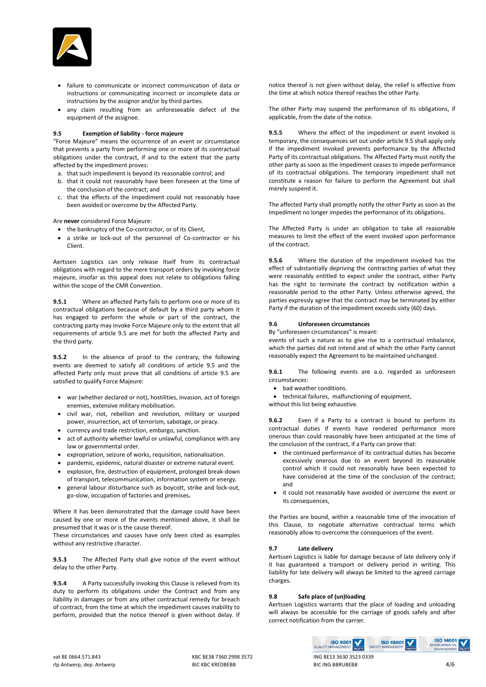

- failure to communicate or incorrect communication of data or instructions or communicating incorrect or incomplete data or instructions by the assignor and/or by third parties.
- any claim resulting from an unforeseeable defect of the equipment of the assignee.

#### **9.5 Exemption of liability - force majeure**

"Force Majeure" means the occurrence of an event or circumstance that prevents a party from performing one or more of its contractual obligations under the contract, if and to the extent that the party affected by the impediment proves:

- a. that such impediment is beyond its reasonable control; and
- b. that it could not reasonably have been foreseen at the time of the conclusion of the contract; and
- c. that the effects of the impediment could not reasonably have been avoided or overcome by the Affected Party.

Are **never** considered Force Majeure:

- the bankruptcy of the Co-contractor, or of its Client,
- a strike or lock-out of the personnel of Co-contractor or his Client.

Aertssen Logistics can only release itself from its contractual obligations with regard to the mere transport orders by invoking force majeure, insofar as this appeal does not relate to obligations falling within the scope of the CMR Convention.

**9.5.1** Where an affected Party fails to perform one or more of its contractual obligations because of default by a third party whom it has engaged to perform the whole or part of the contract, the contracting party may invoke Force Majeure only to the extent that all requirements of article 9.5 are met for both the affected Party and the third party.

**9.5.2** In the absence of proof to the contrary, the following events are deemed to satisfy all conditions of article 9.5 and the affected Party only must prove that all conditions of article 9.5 are satisfied to qualify Force Majeure:

- war (whether declared or not), hostilities, invasion, act of foreign enemies, extensive military mobilisation.
- civil war, riot, rebellion and revolution, military or usurped power, insurrection, act of terrorism, sabotage, or piracy.
- currency and trade restriction, embargo, sanction.
- act of authority whether lawful or unlawful, compliance with any law or governmental order.
- expropriation, seizure of works, requisition, nationalisation.
- pandemic, epidemic, natural disaster or extreme natural event.
- explosion, fire, destruction of equipment, prolonged break-down of transport, telecommunication, information system or energy.
- general labour disturbance such as boycott, strike and lock-out, go-slow, occupation of factories and premises**.**

Where it has been demonstrated that the damage could have been caused by one or more of the events mentioned above, it shall be presumed that it was or is the cause thereof.

These circumstances and causes have only been cited as examples without any restrictive character.

**9.5.3** The Affected Party shall give notice of the event without delay to the other Party.

**9.5.4** A Party successfully invoking this Clause is relieved from its duty to perform its obligations under the Contract and from any liability in damages or from any other contractual remedy for breach of contract, from the time at which the impediment causes inability to perform, provided that the notice thereof is given without delay. If

notice thereof is not given without delay, the relief is effective from the time at which notice thereof reaches the other Party.

The other Party may suspend the performance of its obligations, if applicable, from the date of the notice.

**9.5.5** Where the effect of the impediment or event invoked is temporary, the consequences set out under article 9.5 shall apply only if the impediment invoked prevents performance by the Affected Party of its contractual obligations. The Affected Party must notify the other party as soon as the impediment ceases to impede performance of its contractual obligations. The temporary impediment shall not constitute a reason for failure to perform the Agreement but shall merely suspend it.

The affected Party shall promptly notify the other Party as soon as the impediment no longer impedes the performance of its obligations.

The Affected Party is under an obligation to take all reasonable measures to limit the effect of the event invoked upon performance of the contract.

**9.5.6** Where the duration of the impediment invoked has the effect of substantially depriving the contracting parties of what they were reasonably entitled to expect under the contract, either Party has the right to terminate the contract by notification within a reasonable period to the other Party. Unless otherwise agreed, the parties expressly agree that the contract may be terminated by either Party if the duration of the impediment exceeds sixty (60) days.

#### **9.6 Unforeseen circumstances**

By "unforeseen circumstances" is meant:

events of such a nature as to give rise to a contractual imbalance, which the parties did not intend and of which the other Party cannot reasonably expect the Agreement to be maintained unchanged.

**9.6.1** The following events are a.o. regarded as unforeseen circumstances:

• bad weather conditions.

• technical failures, malfunctioning of equipment,

without this list being exhaustive.

**9.6.2** Even if a Party to a contract is bound to perform its contractual duties if events have rendered performance more onerous than could reasonably have been anticipated at the time of the conclusion of the contract, if a Party can prove that:

- the continued performance of its contractual duties has become excessively onerous due to an event beyond its reasonable control which it could not reasonably have been expected to have considered at the time of the conclusion of the contract; and
- it could not reasonably have avoided or overcome the event or its consequences,

the Parties are bound, within a reasonable time of the invocation of this Clause, to negotiate alternative contractual terms which reasonably allow to overcome the consequences of the event.

# **9.7 Late delivery**

Aertssen Logistics is liable for damage because of late delivery only if it has guaranteed a transport or delivery period in writing. This liability for late delivery will always be limited to the agreed carriage charges.

# **9.8 Safe place of (un)loading**

Aertssen Logistics warrants that the place of loading and unloading will always be accessible for the carriage of goods safely and after correct notification from the carrier.

**ISO 45001**<br>SAFETY MANAGEMENT

**ISO 9001** OLIALITY MANAGEM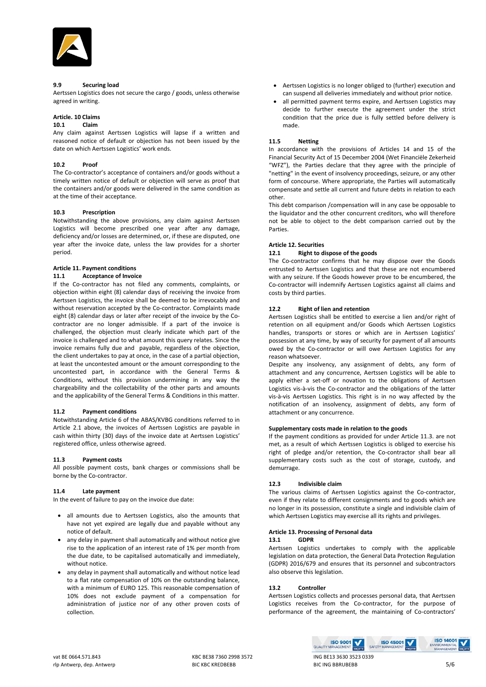

# **9.9 Securing load**

Aertssen Logistics does not secure the cargo / goods, unless otherwise agreed in writing.

# **Article. 10 Claims**

#### **10.1 Claim**

Any claim against Aertssen Logistics will lapse if a written and reasoned notice of default or objection has not been issued by the date on which Aertssen Logistics' work ends.

# **10.2 Proof**

The Co-contractor's acceptance of containers and/or goods without a timely written notice of default or objection will serve as proof that the containers and/or goods were delivered in the same condition as at the time of their acceptance.

# **10.3 Prescription**

Notwithstanding the above provisions, any claim against Aertssen Logistics will become prescribed one year after any damage, deficiency and/or losses are determined, or, if these are disputed, one year after the invoice date, unless the law provides for a shorter period.

# **Article 11. Payment conditions**

#### **11.1 Acceptance of Invoice**

If the Co-contractor has not filed any comments, complaints, or objection within eight (8) calendar days of receiving the invoice from Aertssen Logistics, the invoice shall be deemed to be irrevocably and without reservation accepted by the Co-contractor. Complaints made eight (8) calendar days or later after receipt of the invoice by the Cocontractor are no longer admissible. If a part of the invoice is challenged, the objection must clearly indicate which part of the invoice is challenged and to what amount this query relates. Since the invoice remains fully due and payable, regardless of the objection, the client undertakes to pay at once, in the case of a partial objection, at least the uncontested amount or the amount corresponding to the uncontested part, in accordance with the General Terms & Conditions, without this provision undermining in any way the chargeability and the collectability of the other parts and amounts and the applicability of the General Terms & Conditions in this matter.

# **11.2 Payment conditions**

Notwithstanding Article 6 of the ABAS/KVBG conditions referred to in Article 2.1 above, the invoices of Aertssen Logistics are payable in cash within thirty (30) days of the invoice date at Aertssen Logistics' registered office, unless otherwise agreed.

#### **11.3 Payment costs**

All possible payment costs, bank charges or commissions shall be borne by the Co-contractor.

# **11.4 Late payment**

In the event of failure to pay on the invoice due date:

- all amounts due to Aertssen Logistics, also the amounts that have not yet expired are legally due and payable without any notice of default.
- any delay in payment shall automatically and without notice give rise to the application of an interest rate of 1% per month from the due date, to be capitalised automatically and immediately, without notice.
- any delay in payment shall automatically and without notice lead to a flat rate compensation of 10% on the outstanding balance, with a minimum of EURO 125. This reasonable compensation of 10% does not exclude payment of a compensation for administration of justice nor of any other proven costs of collection.
- Aertssen Logistics is no longer obliged to (further) execution and can suspend all deliveries immediately and without prior notice.
- all permitted payment terms expire, and Aertssen Logistics may decide to further execute the agreement under the strict condition that the price due is fully settled before delivery is made.

#### **11.5 Netting**

In accordance with the provisions of Articles 14 and 15 of the Financial Security Act of 15 December 2004 (Wet Financiële Zekerheid "WFZ"), the Parties declare that they agree with the principle of "netting" in the event of insolvency proceedings, seizure, or any other form of concourse. Where appropriate, the Parties will automatically compensate and settle all current and future debts in relation to each other.

This debt comparison /compensation will in any case be opposable to the liquidator and the other concurrent creditors, who will therefore not be able to object to the debt comparison carried out by the Parties.

#### **Article 12. Securities**

#### **12.1 Right to dispose of the goods**

The Co-contractor confirms that he may dispose over the Goods entrusted to Aertssen Logistics and that these are not encumbered with any seizure. If the Goods however prove to be encumbered, the Co-contractor will indemnify Aertssen Logistics against all claims and costs by third parties.

# **12.2 Right of lien and retention**

Aertssen Logistics shall be entitled to exercise a lien and/or right of retention on all equipment and/or Goods which Aertssen Logistics handles, transports or stores or which are in Aertssen Logistics' possession at any time, by way of security for payment of all amounts owed by the Co-contractor or will owe Aertssen Logistics for any reason whatsoever.

Despite any insolvency, any assignment of debts, any form of attachment and any concurrence, Aertssen Logistics will be able to apply either a set-off or novation to the obligations of Aertssen Logistics vis-à-vis the Co-contractor and the obligations of the latter vis-à-vis Aertssen Logistics. This right is in no way affected by the notification of an insolvency, assignment of debts, any form of attachment or any concurrence.

#### **Supplementary costs made in relation to the goods**

If the payment conditions as provided for under Article 11.3. are not met, as a result of which Aertssen Logistics is obliged to exercise his right of pledge and/or retention, the Co-contractor shall bear all supplementary costs such as the cost of storage, custody, and demurrage.

# **12.3 Indivisible claim**

The various claims of Aertssen Logistics against the Co-contractor, even if they relate to different consignments and to goods which are no longer in its possession, constitute a single and indivisible claim of which Aertssen Logistics may exercise all its rights and privileges.

# **Article 13. Processing of Personal data**

#### **13.1 GDPR**

Aertssen Logistics undertakes to comply with the applicable legislation on data protection, the General Data Protection Regulation (GDPR) 2016/679 and ensures that its personnel and subcontractors also observe this legislation.

# **13.2 Controller**

Aertssen Logistics collects and processes personal data, that Aertssen Logistics receives from the Co-contractor, for the purpose of performance of the agreement, the maintaining of Co-contractors'

**ISO 9001** OUALITY MANAGEM